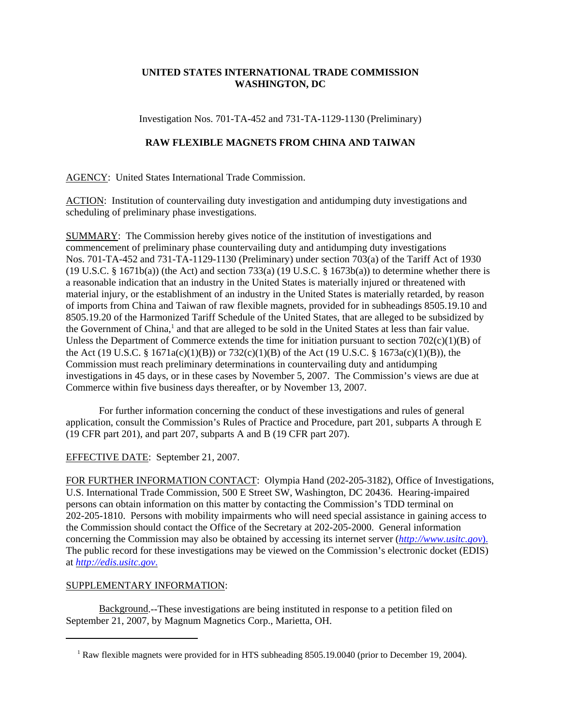## **UNITED STATES INTERNATIONAL TRADE COMMISSION WASHINGTON, DC**

Investigation Nos. 701-TA-452 and 731-TA-1129-1130 (Preliminary)

## **RAW FLEXIBLE MAGNETS FROM CHINA AND TAIWAN**

AGENCY: United States International Trade Commission.

ACTION: Institution of countervailing duty investigation and antidumping duty investigations and scheduling of preliminary phase investigations.

SUMMARY: The Commission hereby gives notice of the institution of investigations and commencement of preliminary phase countervailing duty and antidumping duty investigations Nos. 701-TA-452 and 731-TA-1129-1130 (Preliminary) under section 703(a) of the Tariff Act of 1930 (19 U.S.C. § 1671b(a)) (the Act) and section 733(a) (19 U.S.C. § 1673b(a)) to determine whether there is a reasonable indication that an industry in the United States is materially injured or threatened with material injury, or the establishment of an industry in the United States is materially retarded, by reason of imports from China and Taiwan of raw flexible magnets, provided for in subheadings 8505.19.10 and 8505.19.20 of the Harmonized Tariff Schedule of the United States, that are alleged to be subsidized by the Government of China,<sup>1</sup> and that are alleged to be sold in the United States at less than fair value. Unless the Department of Commerce extends the time for initiation pursuant to section  $702(c)(1)(B)$  of the Act (19 U.S.C. § 1671a(c)(1)(B)) or 732(c)(1)(B) of the Act (19 U.S.C. § 1673a(c)(1)(B)), the Commission must reach preliminary determinations in countervailing duty and antidumping investigations in 45 days, or in these cases by November 5, 2007. The Commission's views are due at Commerce within five business days thereafter, or by November 13, 2007.

For further information concerning the conduct of these investigations and rules of general application, consult the Commission's Rules of Practice and Procedure, part 201, subparts A through E (19 CFR part 201), and part 207, subparts A and B (19 CFR part 207).

## EFFECTIVE DATE: September 21, 2007.

FOR FURTHER INFORMATION CONTACT: Olympia Hand (202-205-3182), Office of Investigations, U.S. International Trade Commission, 500 E Street SW, Washington, DC 20436. Hearing-impaired persons can obtain information on this matter by contacting the Commission's TDD terminal on 202-205-1810. Persons with mobility impairments who will need special assistance in gaining access to the Commission should contact the Office of the Secretary at 202-205-2000. General information concerning the Commission may also be obtained by accessing its internet server (*http://www.usitc.gov*). The public record for these investigations may be viewed on the Commission's electronic docket (EDIS) at *http://edis.usitc.gov*.

## SUPPLEMENTARY INFORMATION:

Background.--These investigations are being instituted in response to a petition filed on September 21, 2007, by Magnum Magnetics Corp., Marietta, OH.

<sup>&</sup>lt;sup>1</sup> Raw flexible magnets were provided for in HTS subheading 8505.19.0040 (prior to December 19, 2004).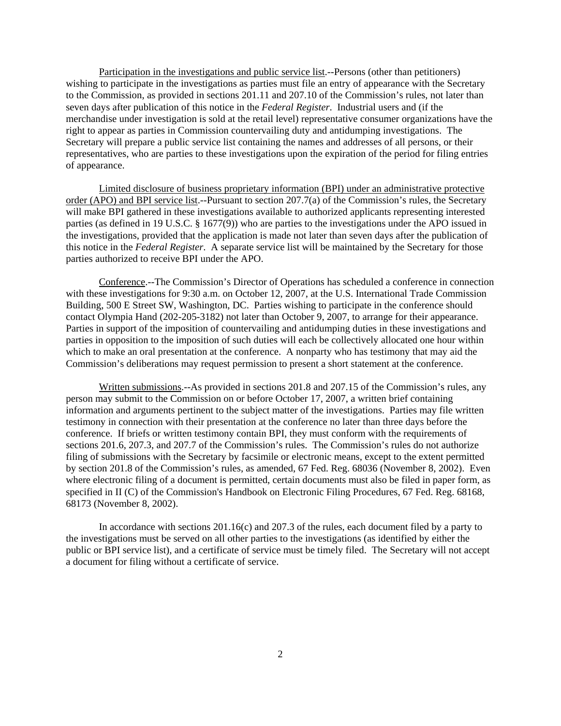Participation in the investigations and public service list.--Persons (other than petitioners) wishing to participate in the investigations as parties must file an entry of appearance with the Secretary to the Commission, as provided in sections 201.11 and 207.10 of the Commission's rules, not later than seven days after publication of this notice in the *Federal Register*. Industrial users and (if the merchandise under investigation is sold at the retail level) representative consumer organizations have the right to appear as parties in Commission countervailing duty and antidumping investigations. The Secretary will prepare a public service list containing the names and addresses of all persons, or their representatives, who are parties to these investigations upon the expiration of the period for filing entries of appearance.

Limited disclosure of business proprietary information (BPI) under an administrative protective order (APO) and BPI service list.--Pursuant to section 207.7(a) of the Commission's rules, the Secretary will make BPI gathered in these investigations available to authorized applicants representing interested parties (as defined in 19 U.S.C. § 1677(9)) who are parties to the investigations under the APO issued in the investigations, provided that the application is made not later than seven days after the publication of this notice in the *Federal Register*. A separate service list will be maintained by the Secretary for those parties authorized to receive BPI under the APO.

Conference.--The Commission's Director of Operations has scheduled a conference in connection with these investigations for 9:30 a.m. on October 12, 2007, at the U.S. International Trade Commission Building, 500 E Street SW, Washington, DC. Parties wishing to participate in the conference should contact Olympia Hand (202-205-3182) not later than October 9, 2007, to arrange for their appearance. Parties in support of the imposition of countervailing and antidumping duties in these investigations and parties in opposition to the imposition of such duties will each be collectively allocated one hour within which to make an oral presentation at the conference. A nonparty who has testimony that may aid the Commission's deliberations may request permission to present a short statement at the conference.

Written submissions.--As provided in sections 201.8 and 207.15 of the Commission's rules, any person may submit to the Commission on or before October 17, 2007, a written brief containing information and arguments pertinent to the subject matter of the investigations. Parties may file written testimony in connection with their presentation at the conference no later than three days before the conference. If briefs or written testimony contain BPI, they must conform with the requirements of sections 201.6, 207.3, and 207.7 of the Commission's rules. The Commission's rules do not authorize filing of submissions with the Secretary by facsimile or electronic means, except to the extent permitted by section 201.8 of the Commission's rules, as amended, 67 Fed. Reg. 68036 (November 8, 2002). Even where electronic filing of a document is permitted, certain documents must also be filed in paper form, as specified in II (C) of the Commission's Handbook on Electronic Filing Procedures, 67 Fed. Reg. 68168, 68173 (November 8, 2002).

In accordance with sections 201.16(c) and 207.3 of the rules, each document filed by a party to the investigations must be served on all other parties to the investigations (as identified by either the public or BPI service list), and a certificate of service must be timely filed. The Secretary will not accept a document for filing without a certificate of service.